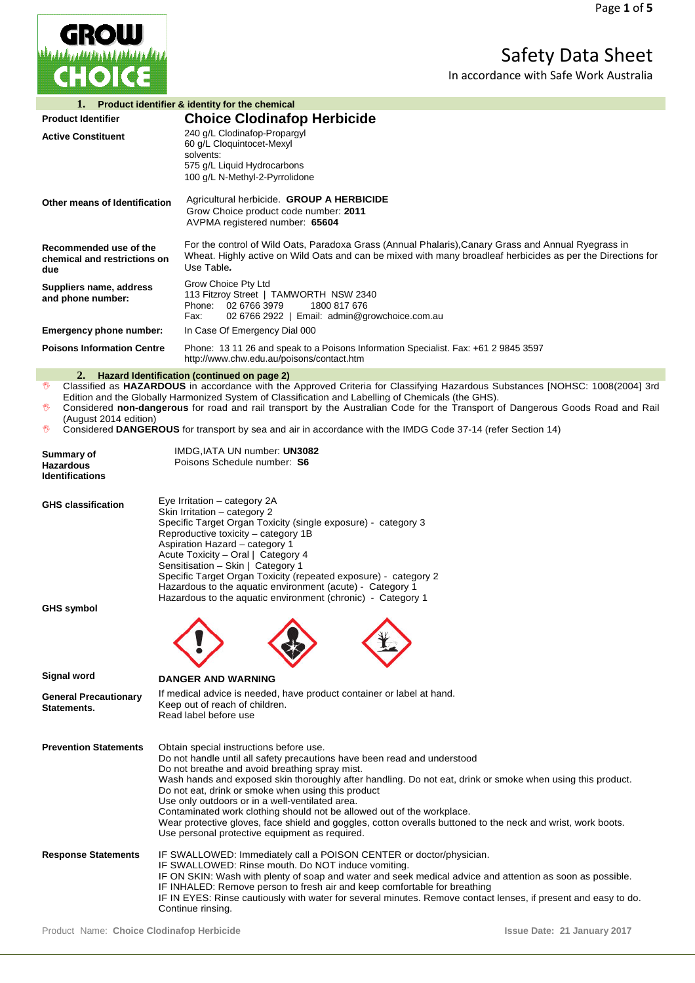

Safety Data Sheet

In accordance with Safe Work Australia

| 1.<br>Product identifier & identity for the chemical                                                                                                                                                                                                                                                                                                                                                                                                                                                                                                                          |                                                                                                                                                                                                                                                                                                                                                                                                                                                                                                                                                                                                                                          |  |  |
|-------------------------------------------------------------------------------------------------------------------------------------------------------------------------------------------------------------------------------------------------------------------------------------------------------------------------------------------------------------------------------------------------------------------------------------------------------------------------------------------------------------------------------------------------------------------------------|------------------------------------------------------------------------------------------------------------------------------------------------------------------------------------------------------------------------------------------------------------------------------------------------------------------------------------------------------------------------------------------------------------------------------------------------------------------------------------------------------------------------------------------------------------------------------------------------------------------------------------------|--|--|
| <b>Product Identifier</b>                                                                                                                                                                                                                                                                                                                                                                                                                                                                                                                                                     | <b>Choice Clodinafop Herbicide</b>                                                                                                                                                                                                                                                                                                                                                                                                                                                                                                                                                                                                       |  |  |
| <b>Active Constituent</b>                                                                                                                                                                                                                                                                                                                                                                                                                                                                                                                                                     | 240 g/L Clodinafop-Propargyl<br>60 g/L Cloquintocet-Mexyl<br>solvents:<br>575 g/L Liquid Hydrocarbons                                                                                                                                                                                                                                                                                                                                                                                                                                                                                                                                    |  |  |
| Other means of Identification                                                                                                                                                                                                                                                                                                                                                                                                                                                                                                                                                 | 100 g/L N-Methyl-2-Pyrrolidone<br>Agricultural herbicide. GROUP A HERBICIDE<br>Grow Choice product code number: 2011<br>AVPMA registered number: 65604                                                                                                                                                                                                                                                                                                                                                                                                                                                                                   |  |  |
| Recommended use of the<br>chemical and restrictions on<br>due                                                                                                                                                                                                                                                                                                                                                                                                                                                                                                                 | For the control of Wild Oats, Paradoxa Grass (Annual Phalaris), Canary Grass and Annual Ryegrass in<br>Wheat. Highly active on Wild Oats and can be mixed with many broadleaf herbicides as per the Directions for<br>Use Table.                                                                                                                                                                                                                                                                                                                                                                                                         |  |  |
| Suppliers name, address<br>and phone number:                                                                                                                                                                                                                                                                                                                                                                                                                                                                                                                                  | Grow Choice Pty Ltd<br>113 Fitzroy Street   TAMWORTH NSW 2340<br>Phone: 02 6766 3979<br>1800 817 676<br>Fax:<br>02 6766 2922   Email: admin@growchoice.com.au                                                                                                                                                                                                                                                                                                                                                                                                                                                                            |  |  |
| Emergency phone number:                                                                                                                                                                                                                                                                                                                                                                                                                                                                                                                                                       | In Case Of Emergency Dial 000                                                                                                                                                                                                                                                                                                                                                                                                                                                                                                                                                                                                            |  |  |
| <b>Poisons Information Centre</b>                                                                                                                                                                                                                                                                                                                                                                                                                                                                                                                                             | Phone: 13 11 26 and speak to a Poisons Information Specialist. Fax: +61 2 9845 3597<br>http://www.chw.edu.au/poisons/contact.htm                                                                                                                                                                                                                                                                                                                                                                                                                                                                                                         |  |  |
| 2. Hazard Identification (continued on page 2)<br>Classified as HAZARDOUS in accordance with the Approved Criteria for Classifying Hazardous Substances [NOHSC: 1008(2004] 3rd<br>₩<br>Edition and the Globally Harmonized System of Classification and Labelling of Chemicals (the GHS).<br>Considered non-dangerous for road and rail transport by the Australian Code for the Transport of Dangerous Goods Road and Rail<br>₩<br>(August 2014 edition)<br>₩<br>Considered DANGEROUS for transport by sea and air in accordance with the IMDG Code 37-14 (refer Section 14) |                                                                                                                                                                                                                                                                                                                                                                                                                                                                                                                                                                                                                                          |  |  |
| Summary of<br><b>Hazardous</b><br><b>Identifications</b>                                                                                                                                                                                                                                                                                                                                                                                                                                                                                                                      | IMDG, IATA UN number: UN3082<br>Poisons Schedule number: S6                                                                                                                                                                                                                                                                                                                                                                                                                                                                                                                                                                              |  |  |
| <b>GHS classification</b>                                                                                                                                                                                                                                                                                                                                                                                                                                                                                                                                                     | Eye Irritation - category 2A<br>Skin Irritation - category 2<br>Specific Target Organ Toxicity (single exposure) - category 3<br>Reproductive toxicity - category 1B<br>Aspiration Hazard - category 1<br>Acute Toxicity - Oral   Category 4<br>Sensitisation - Skin   Category 1<br>Specific Target Organ Toxicity (repeated exposure) - category 2<br>Hazardous to the aquatic environment (acute) - Category 1<br>Hazardous to the aquatic environment (chronic) - Category 1                                                                                                                                                         |  |  |
| GHS symbol                                                                                                                                                                                                                                                                                                                                                                                                                                                                                                                                                                    | $\sim$                                                                                                                                                                                                                                                                                                                                                                                                                                                                                                                                                                                                                                   |  |  |
| Signal word                                                                                                                                                                                                                                                                                                                                                                                                                                                                                                                                                                   | <b>DANGER AND WARNING</b>                                                                                                                                                                                                                                                                                                                                                                                                                                                                                                                                                                                                                |  |  |
| <b>General Precautionary</b><br>Statements.                                                                                                                                                                                                                                                                                                                                                                                                                                                                                                                                   | If medical advice is needed, have product container or label at hand.<br>Keep out of reach of children.<br>Read label before use                                                                                                                                                                                                                                                                                                                                                                                                                                                                                                         |  |  |
| <b>Prevention Statements</b>                                                                                                                                                                                                                                                                                                                                                                                                                                                                                                                                                  | Obtain special instructions before use.<br>Do not handle until all safety precautions have been read and understood<br>Do not breathe and avoid breathing spray mist.<br>Wash hands and exposed skin thoroughly after handling. Do not eat, drink or smoke when using this product.<br>Do not eat, drink or smoke when using this product<br>Use only outdoors or in a well-ventilated area.<br>Contaminated work clothing should not be allowed out of the workplace.<br>Wear protective gloves, face shield and goggles, cotton overalls buttoned to the neck and wrist, work boots.<br>Use personal protective equipment as required. |  |  |
| <b>Response Statements</b>                                                                                                                                                                                                                                                                                                                                                                                                                                                                                                                                                    | IF SWALLOWED: Immediately call a POISON CENTER or doctor/physician.<br>IF SWALLOWED: Rinse mouth. Do NOT induce vomiting.<br>IF ON SKIN: Wash with plenty of soap and water and seek medical advice and attention as soon as possible.<br>IF INHALED: Remove person to fresh air and keep comfortable for breathing<br>IF IN EYES: Rinse cautiously with water for several minutes. Remove contact lenses, if present and easy to do.<br>Continue rinsing.                                                                                                                                                                               |  |  |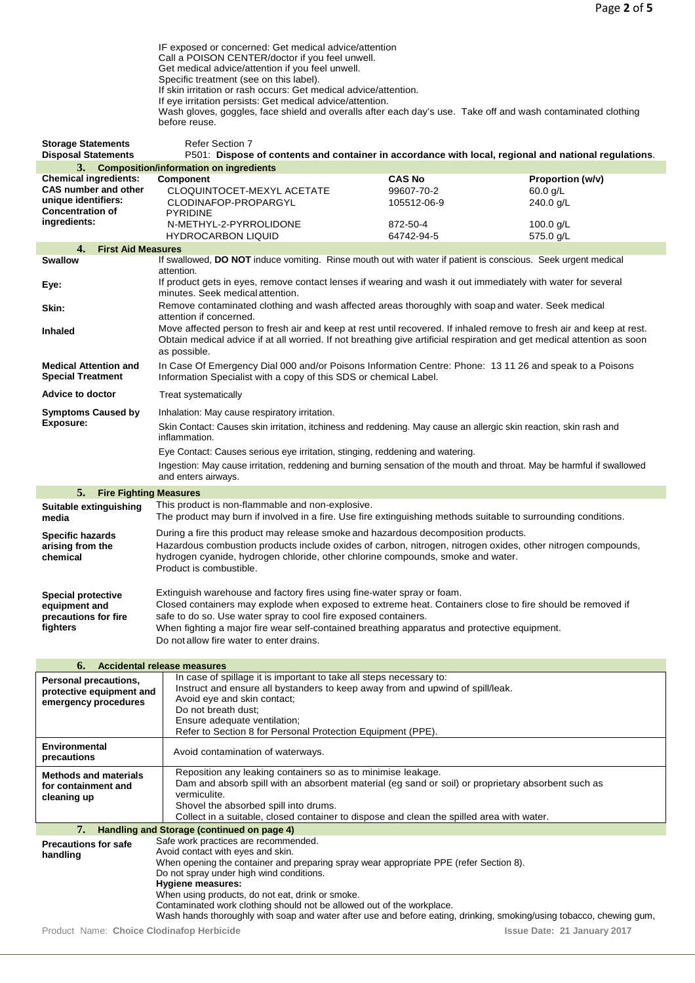Product Name: **Choice Clodinafop Herbicide Issue Date: 21 January 2017** IF exposed or concerned: Get medical advice/attention Call a POISON CENTER/doctor if you feel unwell. Get medical advice/attention if you feel unwell. Specific treatment (see on this label). If skin irritation or rash occurs: Get medical advice/attention. If eye irritation persists: Get medical advice/attention. Wash gloves, goggles, face shield and overalls after each day's use. Take off and wash contaminated clothing before reuse. **Storage Statements** Refer Section 7<br> **Disposal Statements** P501: Dispose P501: Dispose of contents and container in accordance with local, regional and national regulations. **3. Composition/information on ingredients Chemical ingredients: CAS number and other unique identifiers: Concentration of ingredients: CAS No Proportion (w/v)**<br>99607-70-2 60.0 g/L CLOQUINTOCET-MEXYL ACETATE 99607-70-2 60.0 g/L<br>CLODINAFOP-PROPARGYL 105512-06-9 240.0 g/L CLODINAFOP-PROPARGYL PYRIDINE 105512-06-9 N-METHYL-2-PYRROLIDONE 872-50-4 100.0 g/L HYDROCARBON LIQUID **4. First Aid Measures** If swallowed, DO NOT induce vomiting. Rinse mouth out with water if patient is conscious. Seek urgent medical attention. **Eye:** If product gets in eyes, remove contact lenses if wearing and wash it out immediately with water for several minutes. Seek medical attention. **Skin:** Remove contaminated clothing and wash affected areas thoroughly with soap and water. Seek medical attention if concerned. **Inhaled** Move affected person to fresh air and keep at rest until recovered. If inhaled remove to fresh air and keep at rest. Obtain medical advice if at all worried. If not breathing give artificial respiration and get medical attention as soon as possible. **Medical Attention and Special Treatment** In Case Of Emergency Dial 000 and/or Poisons Information Centre: Phone: 13 11 26 and speak to a Poisons Information Specialist with a copy of this SDS or chemical Label. Advice to doctor **Treat systematically Symptoms Caused by Exposure:** Inhalation: May cause respiratory irritation. Skin Contact: Causes skin irritation, itchiness and reddening. May cause an allergic skin reaction, skin rash and inflammation. Eye Contact: Causes serious eye irritation, stinging, reddening and watering. Ingestion: May cause irritation, reddening and burning sensation of the mouth and throat. May be harmful if swallowed and enters airways. **5. Fire Fighting Measures Suitable extinguishing media** This product is non-flammable and non-explosive. The product may burn if involved in a fire. Use fire extinguishing methods suitable to surrounding conditions. **Specific hazards arising from the chemical** During a fire this product may release smoke and hazardous decomposition products. Hazardous combustion products include oxides of carbon, nitrogen, nitrogen oxides, other nitrogen compounds, hydrogen cyanide, hydrogen chloride, other chlorine compounds, smoke and water. Product is combustible. **Special protective equipment and precautions for fire fighters** Extinguish warehouse and factory fires using fine-water spray or foam. Closed containers may explode when exposed to extreme heat. Containers close to fire should be removed if safe to do so. Use water spray to cool fire exposed containers. When fighting a major fire wear self-contained breathing apparatus and protective equipment. Do not allow fire water to enter drains. **6. Accidental release measures Personal precautions, protective equipment and emergency procedures** In case of spillage it is important to take all steps necessary to: Instruct and ensure all bystanders to keep away from and upwind of spill/leak. Avoid eye and skin contact; Do not breath dust; Ensure adequate ventilation; Refer to Section 8 for Personal Protection Equipment (PPE). **Environmental**  Avoid contamination of waterways. **Methods and materials for containment and cleaning up** Reposition any leaking containers so as to minimise leakage. Dam and absorb spill with an absorbent material (eg sand or soil) or proprietary absorbent such as vermiculite. Shovel the absorbed spill into drums. Collect in a suitable, closed container to dispose and clean the spilled area with water. **7. Handling and Storage (continued on page 4) Precautions for safe handling** Safe work practices are recommended. Avoid contact with eyes and skin. When opening the container and preparing spray wear appropriate PPE (refer Section 8). Do not spray under high wind conditions. **Hygiene measures:** When using products, do not eat, drink or smoke. Contaminated work clothing should not be allowed out of the workplace. Wash hands thoroughly with soap and water after use and before eating, drinking, smoking/using tobacco, chewing gum,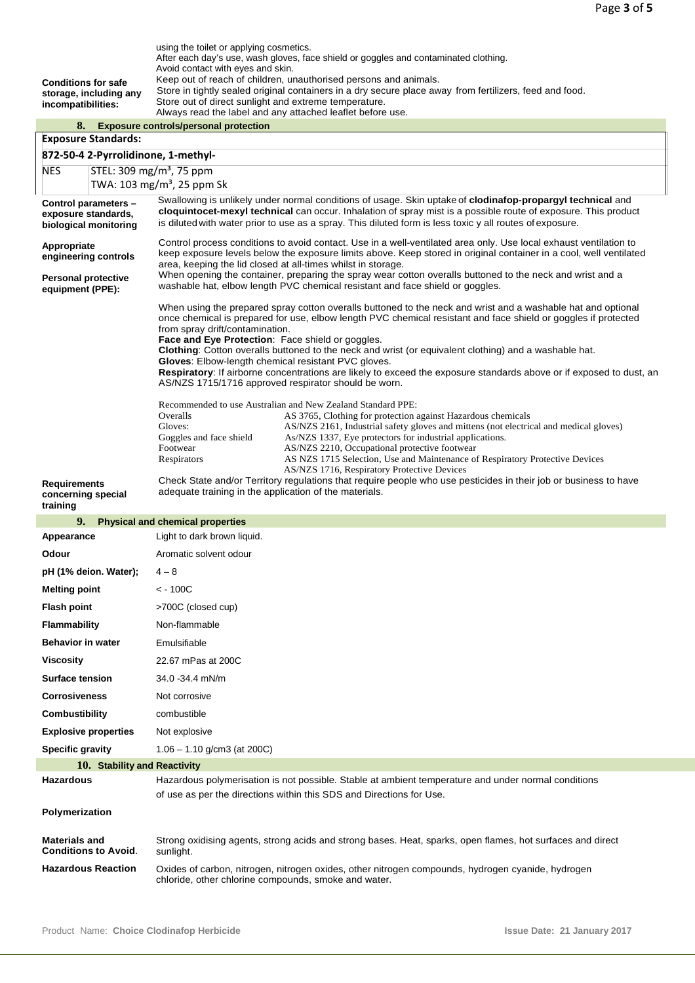| <b>Conditions for safe</b>                                                                                       | using the toilet or applying cosmetics.<br>After each day's use, wash gloves, face shield or goggles and contaminated clothing.<br>Avoid contact with eyes and skin.<br>Keep out of reach of children, unauthorised persons and animals.                                                                              |  |  |  |
|------------------------------------------------------------------------------------------------------------------|-----------------------------------------------------------------------------------------------------------------------------------------------------------------------------------------------------------------------------------------------------------------------------------------------------------------------|--|--|--|
| storage, including any<br>incompatibilities:                                                                     | Store in tightly sealed original containers in a dry secure place away from fertilizers, feed and food.<br>Store out of direct sunlight and extreme temperature.                                                                                                                                                      |  |  |  |
| Always read the label and any attached leaflet before use.<br>8.<br><b>Exposure controls/personal protection</b> |                                                                                                                                                                                                                                                                                                                       |  |  |  |
| <b>Exposure Standards:</b>                                                                                       |                                                                                                                                                                                                                                                                                                                       |  |  |  |
| 872-50-4 2-Pyrrolidinone, 1-methyl-                                                                              |                                                                                                                                                                                                                                                                                                                       |  |  |  |
| STEL: 309 mg/m <sup>3</sup> , 75 ppm<br><b>NES</b><br>TWA: 103 mg/m <sup>3</sup> , 25 ppm Sk                     |                                                                                                                                                                                                                                                                                                                       |  |  |  |
| Control parameters -                                                                                             | Swallowing is unlikely under normal conditions of usage. Skin uptake of clodinafop-propargyl technical and                                                                                                                                                                                                            |  |  |  |
| exposure standards,<br>biological monitoring                                                                     | cloquintocet-mexyl technical can occur. Inhalation of spray mist is a possible route of exposure. This product<br>is diluted with water prior to use as a spray. This diluted form is less toxic y all routes of exposure.                                                                                            |  |  |  |
| Appropriate<br>engineering controls                                                                              | Control process conditions to avoid contact. Use in a well-ventilated area only. Use local exhaust ventilation to<br>keep exposure levels below the exposure limits above. Keep stored in original container in a cool, well ventilated<br>area, keeping the lid closed at all-times whilst in storage.               |  |  |  |
| <b>Personal protective</b><br>equipment (PPE):                                                                   | When opening the container, preparing the spray wear cotton overalls buttoned to the neck and wrist and a<br>washable hat, elbow length PVC chemical resistant and face shield or goggles.                                                                                                                            |  |  |  |
|                                                                                                                  | When using the prepared spray cotton overalls buttoned to the neck and wrist and a washable hat and optional<br>once chemical is prepared for use, elbow length PVC chemical resistant and face shield or goggles if protected<br>from spray drift/contamination.<br>Face and Eye Protection: Face shield or goggles. |  |  |  |
|                                                                                                                  | Clothing: Cotton overalls buttoned to the neck and wrist (or equivalent clothing) and a washable hat.                                                                                                                                                                                                                 |  |  |  |
|                                                                                                                  | Gloves: Elbow-length chemical resistant PVC gloves.<br>Respiratory: If airborne concentrations are likely to exceed the exposure standards above or if exposed to dust, an<br>AS/NZS 1715/1716 approved respirator should be worn.                                                                                    |  |  |  |
|                                                                                                                  | Recommended to use Australian and New Zealand Standard PPE:                                                                                                                                                                                                                                                           |  |  |  |
|                                                                                                                  | Overalls<br>AS 3765, Clothing for protection against Hazardous chemicals<br>Gloves:<br>AS/NZS 2161, Industrial safety gloves and mittens (not electrical and medical gloves)                                                                                                                                          |  |  |  |
|                                                                                                                  | Goggles and face shield<br>As/NZS 1337, Eye protectors for industrial applications.<br>Footwear<br>AS/NZS 2210, Occupational protective footwear                                                                                                                                                                      |  |  |  |
|                                                                                                                  | AS NZS 1715 Selection, Use and Maintenance of Respiratory Protective Devices<br>Respirators                                                                                                                                                                                                                           |  |  |  |
|                                                                                                                  | AS/NZS 1716, Respiratory Protective Devices<br>Check State and/or Territory regulations that require people who use pesticides in their job or business to have                                                                                                                                                       |  |  |  |
|                                                                                                                  |                                                                                                                                                                                                                                                                                                                       |  |  |  |
| Requirements<br>concerning special<br>training                                                                   | adequate training in the application of the materials.                                                                                                                                                                                                                                                                |  |  |  |
| 9.                                                                                                               | <b>Physical and chemical properties</b>                                                                                                                                                                                                                                                                               |  |  |  |
| Appearance                                                                                                       | Light to dark brown liquid.                                                                                                                                                                                                                                                                                           |  |  |  |
| Odour                                                                                                            | Aromatic solvent odour                                                                                                                                                                                                                                                                                                |  |  |  |
| pH (1% deion. Water);                                                                                            | $4 - 8$                                                                                                                                                                                                                                                                                                               |  |  |  |
| <b>Melting point</b>                                                                                             | $< -100C$                                                                                                                                                                                                                                                                                                             |  |  |  |
| <b>Flash point</b>                                                                                               | >700C (closed cup)                                                                                                                                                                                                                                                                                                    |  |  |  |
| <b>Flammability</b>                                                                                              | Non-flammable                                                                                                                                                                                                                                                                                                         |  |  |  |
| <b>Behavior in water</b>                                                                                         | Emulsifiable                                                                                                                                                                                                                                                                                                          |  |  |  |
| Viscosity                                                                                                        | 22.67 mPas at 200C                                                                                                                                                                                                                                                                                                    |  |  |  |
| <b>Surface tension</b>                                                                                           | 34.0 - 34.4 mN/m                                                                                                                                                                                                                                                                                                      |  |  |  |
| <b>Corrosiveness</b><br>Combustibility                                                                           | Not corrosive<br>combustible                                                                                                                                                                                                                                                                                          |  |  |  |
| <b>Explosive properties</b>                                                                                      | Not explosive                                                                                                                                                                                                                                                                                                         |  |  |  |
| <b>Specific gravity</b>                                                                                          | $1.06 - 1.10$ g/cm3 (at 200C)                                                                                                                                                                                                                                                                                         |  |  |  |
| 10. Stability and Reactivity                                                                                     |                                                                                                                                                                                                                                                                                                                       |  |  |  |
| Hazardous                                                                                                        | Hazardous polymerisation is not possible. Stable at ambient temperature and under normal conditions<br>of use as per the directions within this SDS and Directions for Use.                                                                                                                                           |  |  |  |
| Polymerization                                                                                                   |                                                                                                                                                                                                                                                                                                                       |  |  |  |
| <b>Materials and</b><br><b>Conditions to Avoid.</b>                                                              | Strong oxidising agents, strong acids and strong bases. Heat, sparks, open flames, hot surfaces and direct<br>sunlight.                                                                                                                                                                                               |  |  |  |
| <b>Hazardous Reaction</b>                                                                                        | Oxides of carbon, nitrogen, nitrogen oxides, other nitrogen compounds, hydrogen cyanide, hydrogen<br>chloride, other chlorine compounds, smoke and water.                                                                                                                                                             |  |  |  |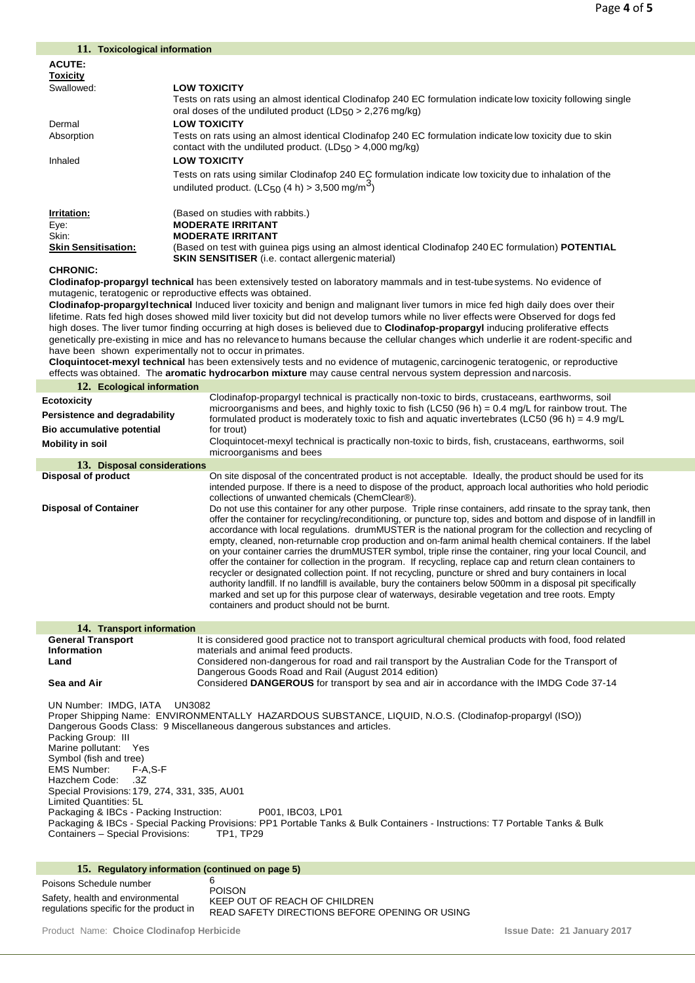| 11. Toxicological information                                                                                         |                                                                                                                                                                                                                          |  |  |
|-----------------------------------------------------------------------------------------------------------------------|--------------------------------------------------------------------------------------------------------------------------------------------------------------------------------------------------------------------------|--|--|
| <b>ACUTE:</b>                                                                                                         |                                                                                                                                                                                                                          |  |  |
| <b>Toxicity</b>                                                                                                       |                                                                                                                                                                                                                          |  |  |
| Swallowed:                                                                                                            | <b>LOW TOXICITY</b>                                                                                                                                                                                                      |  |  |
|                                                                                                                       | Tests on rats using an almost identical Clodinafop 240 EC formulation indicate low toxicity following single                                                                                                             |  |  |
|                                                                                                                       | oral doses of the undiluted product ( $LD_{50} > 2,276$ mg/kg)                                                                                                                                                           |  |  |
| Dermal                                                                                                                | <b>LOW TOXICITY</b>                                                                                                                                                                                                      |  |  |
| Absorption<br>Tests on rats using an almost identical Clodinafop 240 EC formulation indicate low toxicity due to skin |                                                                                                                                                                                                                          |  |  |
|                                                                                                                       | contact with the undiluted product. ( $LD_{50} > 4,000$ mg/kg)                                                                                                                                                           |  |  |
| Inhaled                                                                                                               | <b>LOW TOXICITY</b>                                                                                                                                                                                                      |  |  |
|                                                                                                                       | Tests on rats using similar Clodinafop 240 EC formulation indicate low toxicity due to inhalation of the                                                                                                                 |  |  |
|                                                                                                                       | undiluted product. (LC <sub>50</sub> (4 h) > 3,500 mg/m <sup>3</sup> )                                                                                                                                                   |  |  |
|                                                                                                                       |                                                                                                                                                                                                                          |  |  |
| Irritation:                                                                                                           | (Based on studies with rabbits.)                                                                                                                                                                                         |  |  |
| Eye:                                                                                                                  | <b>MODERATE IRRITANT</b>                                                                                                                                                                                                 |  |  |
| Skin:                                                                                                                 | <b>MODERATE IRRITANT</b>                                                                                                                                                                                                 |  |  |
| <b>Skin Sensitisation:</b>                                                                                            | (Based on test with guinea pigs using an almost identical Clodinafop 240 EC formulation) <b>POTENTIAL</b>                                                                                                                |  |  |
| <b>CHRONIC:</b>                                                                                                       | <b>SKIN SENSITISER</b> (i.e. contact allergenic material)                                                                                                                                                                |  |  |
|                                                                                                                       | Clodinafop-propargyl technical has been extensively tested on laboratory mammals and in test-tube systems. No evidence of                                                                                                |  |  |
|                                                                                                                       | mutagenic, teratogenic or reproductive effects was obtained.                                                                                                                                                             |  |  |
|                                                                                                                       | Clodinafop-propargyltechnical Induced liver toxicity and benign and malignant liver tumors in mice fed high daily does over their                                                                                        |  |  |
|                                                                                                                       | lifetime. Rats fed high doses showed mild liver toxicity but did not develop tumors while no liver effects were Observed for dogs fed                                                                                    |  |  |
|                                                                                                                       | high doses. The liver tumor finding occurring at high doses is believed due to Clodinafop-propargyl inducing proliferative effects                                                                                       |  |  |
|                                                                                                                       | genetically pre-existing in mice and has no relevance to humans because the cellular changes which underlie it are rodent-specific and                                                                                   |  |  |
|                                                                                                                       | have been shown experimentally not to occur in primates.                                                                                                                                                                 |  |  |
|                                                                                                                       | Cloquintocet-mexyl technical has been extensively tests and no evidence of mutagenic, carcinogenic teratogenic, or reproductive                                                                                          |  |  |
|                                                                                                                       | effects was obtained. The <b>aromatic hydrocarbon mixture</b> may cause central nervous system depression and narcosis.                                                                                                  |  |  |
| 12. Ecological information                                                                                            |                                                                                                                                                                                                                          |  |  |
| <b>Ecotoxicity</b>                                                                                                    | Clodinafop-propargyl technical is practically non-toxic to birds, crustaceans, earthworms, soil<br>microorganisms and bees, and highly toxic to fish (LC50 (96 h) = $0.4$ mg/L for rainbow trout. The                    |  |  |
| Persistence and degradability                                                                                         | formulated product is moderately toxic to fish and aquatic invertebrates (LC50 (96 h) = 4.9 mg/L                                                                                                                         |  |  |
| Bio accumulative potential                                                                                            | for trout)                                                                                                                                                                                                               |  |  |
| <b>Mobility in soil</b>                                                                                               | Cloquintocet-mexyl technical is practically non-toxic to birds, fish, crustaceans, earthworms, soil                                                                                                                      |  |  |
|                                                                                                                       | microorganisms and bees                                                                                                                                                                                                  |  |  |
| 13. Disposal considerations                                                                                           |                                                                                                                                                                                                                          |  |  |
| <b>Disposal of product</b>                                                                                            | On site disposal of the concentrated product is not acceptable. Ideally, the product should be used for its                                                                                                              |  |  |
|                                                                                                                       | intended purpose. If there is a need to dispose of the product, approach local authorities who hold periodic<br>collections of unwanted chemicals (ChemClear®).                                                          |  |  |
| <b>Disposal of Container</b>                                                                                          | Do not use this container for any other purpose. Triple rinse containers, add rinsate to the spray tank, then                                                                                                            |  |  |
|                                                                                                                       | offer the container for recycling/reconditioning, or puncture top, sides and bottom and dispose of in landfill in                                                                                                        |  |  |
|                                                                                                                       | accordance with local regulations. drumMUSTER is the national program for the collection and recycling of                                                                                                                |  |  |
|                                                                                                                       | empty, cleaned, non-returnable crop production and on-farm animal health chemical containers. If the label                                                                                                               |  |  |
|                                                                                                                       | on your container carries the drumMUSTER symbol, triple rinse the container, ring your local Council, and                                                                                                                |  |  |
|                                                                                                                       | offer the container for collection in the program. If recycling, replace cap and return clean containers to<br>recycler or designated collection point. If not recycling, puncture or shred and bury containers in local |  |  |
|                                                                                                                       | authority landfill. If no landfill is available, bury the containers below 500mm in a disposal pit specifically                                                                                                          |  |  |
|                                                                                                                       | marked and set up for this purpose clear of waterways, desirable vegetation and tree roots. Empty                                                                                                                        |  |  |
|                                                                                                                       | containers and product should not be burnt.                                                                                                                                                                              |  |  |
|                                                                                                                       |                                                                                                                                                                                                                          |  |  |
| 14. Transport information                                                                                             |                                                                                                                                                                                                                          |  |  |
| <b>General Transport</b><br>Information                                                                               | It is considered good practice not to transport agricultural chemical products with food, food related<br>materials and animal feed products.                                                                            |  |  |
| Land                                                                                                                  | Considered non-dangerous for road and rail transport by the Australian Code for the Transport of                                                                                                                         |  |  |
|                                                                                                                       | Dangerous Goods Road and Rail (August 2014 edition)                                                                                                                                                                      |  |  |
| Sea and Air                                                                                                           | Considered DANGEROUS for transport by sea and air in accordance with the IMDG Code 37-14                                                                                                                                 |  |  |
|                                                                                                                       |                                                                                                                                                                                                                          |  |  |
| UN Number: IMDG, IATA                                                                                                 | UN3082                                                                                                                                                                                                                   |  |  |
| Proper Shipping Name: ENVIRONMENTALLY HAZARDOUS SUBSTANCE, LIQUID, N.O.S. (Clodinafop-propargyl (ISO))                |                                                                                                                                                                                                                          |  |  |
| Dangerous Goods Class: 9 Miscellaneous dangerous substances and articles.<br>Packing Group: III                       |                                                                                                                                                                                                                          |  |  |
|                                                                                                                       |                                                                                                                                                                                                                          |  |  |

Marine pollutant: Yes Symbol (fish and tree) EMS Number: F-A,S-F Hazchem Code: .3Z Special Provisions:179, 274, 331, 335, AU01 Limited Quantities: 5L Packaging & IBCs - Packing Instruction: P001, IBC03, LP01 Packaging & IBCs - Special Packing Provisions: PP1 Portable Tanks & Bulk Containers - Instructions: T7 Portable Tanks & Bulk Containers – Special Provisions: TP1, TP29

## **15. Regulatory information (continued on page 5)**

| Poisons Schedule number                                                     |                                                                                                  |
|-----------------------------------------------------------------------------|--------------------------------------------------------------------------------------------------|
| Safety, health and environmental<br>regulations specific for the product in | <b>POISON</b><br>KEEP OUT OF REACH OF CHILDREN<br>READ SAFETY DIRECTIONS BEFORE OPENING OR USING |